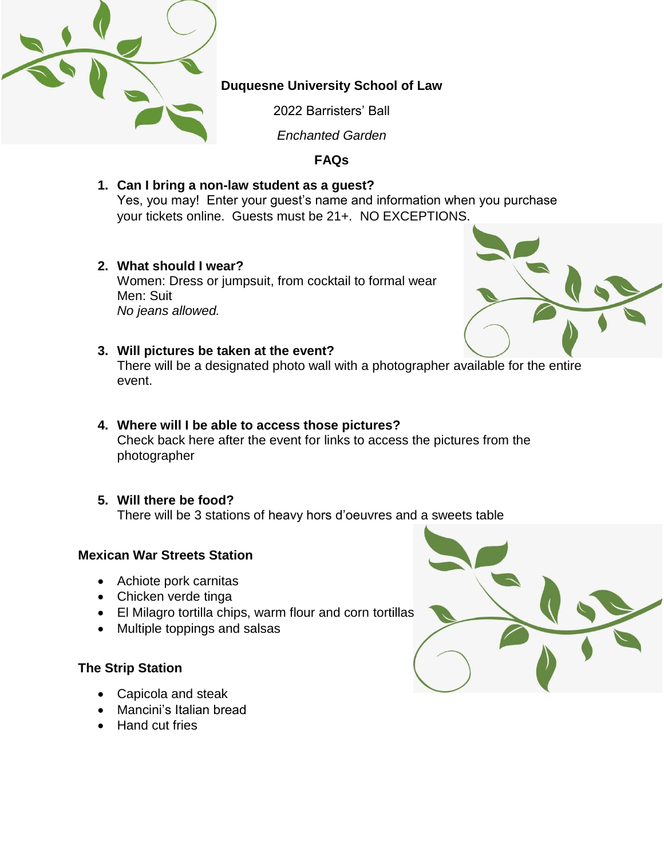

# **Duquesne University School of Law**

2022 Barristers' Ball

*Enchanted Garden*

# **FAQs**

**1. Can I bring a non-law student as a guest?**

Yes, you may! Enter your guest's name and information when you purchase your tickets online. Guests must be 21+. NO EXCEPTIONS.

**2. What should I wear?**

Women: Dress or jumpsuit, from cocktail to formal wear Men: Suit *No jeans allowed.*



## **3. Will pictures be taken at the event?**

There will be a designated photo wall with a photographer available for the entire event.

- **4. Where will I be able to access those pictures?** Check back here after the event for links to access the pictures from the photographer
- **5. Will there be food?**

There will be 3 stations of heavy hors d'oeuvres and a sweets table

# **Mexican War Streets Station**

- Achiote pork carnitas
- Chicken verde tinga
- El Milagro tortilla chips, warm flour and corn tortillas
- Multiple toppings and salsas

# **The Strip Station**

- Capicola and steak
- Mancini's Italian bread
- Hand cut fries